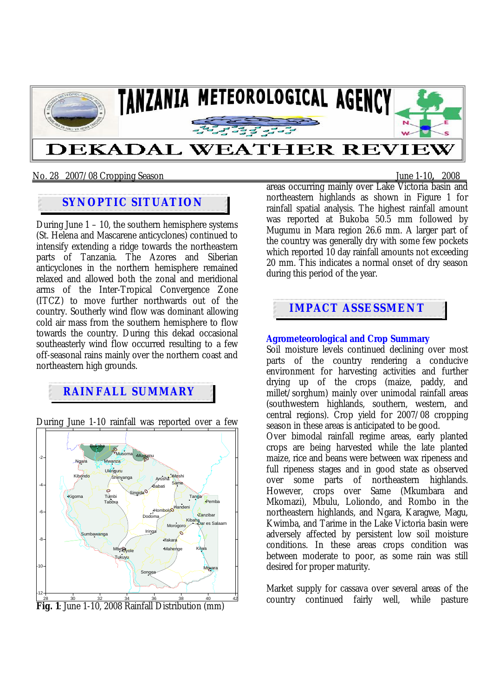

## No. 28 2007/08 Cropping Season June 1-10**,** 2008

## **SYNOPTIC SITUATION**

During June  $1 - 10$ , the southern hemisphere systems (St. Helena and Mascarene anticyclones) continued to intensify extending a ridge towards the northeastern parts of Tanzania. The Azores and Siberian anticyclones in the northern hemisphere remained relaxed and allowed both the zonal and meridional arms of the Inter-Tropical Convergence Zone (ITCZ) to move further northwards out of the country. Southerly wind flow was dominant allowing cold air mass from the southern hemisphere to flow towards the country. During this dekad occasional southeasterly wind flow occurred resulting to a few off-seasonal rains mainly over the northern coast and northeastern high grounds.

## **RAINFALL SUMMARY**

During June 1-10 rainfall was reported over a few



areas occurring mainly over Lake Victoria basin and northeastern highlands as shown in Figure 1 for rainfall spatial analysis. The highest rainfall amount was reported at Bukoba 50.5 mm followed by Mugumu in Mara region 26.6 mm. A larger part of the country was generally dry with some few pockets which reported 10 day rainfall amounts not exceeding 20 mm. This indicates a normal onset of dry season during this period of the year.

# **IMPACT ASSESSMENT**

## **Agrometeorological and Crop Summary**

Soil moisture levels continued declining over most parts of the country rendering a conducive environment for harvesting activities and further drying up of the crops (maize, paddy, and millet/sorghum) mainly over unimodal rainfall areas (southwestern highlands, southern, western, and central regions). Crop yield for 2007/08 cropping season in these areas is anticipated to be good.

Over bimodal rainfall regime areas, early planted crops are being harvested while the late planted maize, rice and beans were between wax ripeness and full ripeness stages and in good state as observed over some parts of northeastern highlands. However, crops over Same (Mkumbara and Mkomazi), Mbulu, Loliondo, and Rombo in the northeastern highlands, and Ngara, Karagwe, Magu, Kwimba, and Tarime in the Lake Victoria basin were adversely affected by persistent low soil moisture conditions. In these areas crops condition was between moderate to poor, as some rain was still desired for proper maturity.

Market supply for cassava over several areas of the country continued fairly well, while pasture